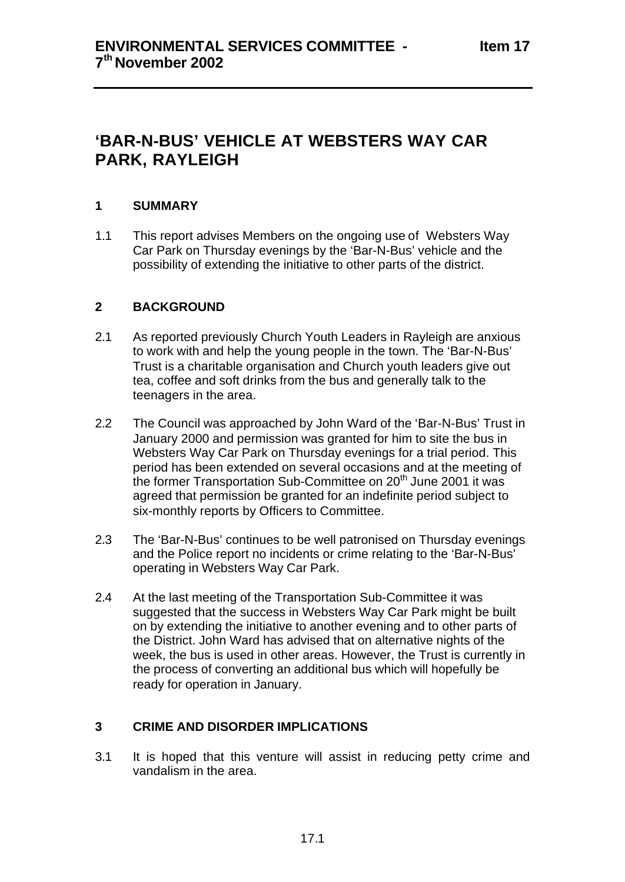# **'BAR-N-BUS' VEHICLE AT WEBSTERS WAY CAR PARK, RAYLEIGH**

## **1 SUMMARY**

1.1 This report advises Members on the ongoing use of Websters Way Car Park on Thursday evenings by the 'Bar-N-Bus' vehicle and the possibility of extending the initiative to other parts of the district.

## **2 BACKGROUND**

- 2.1 As reported previously Church Youth Leaders in Rayleigh are anxious to work with and help the young people in the town. The 'Bar-N-Bus' Trust is a charitable organisation and Church youth leaders give out tea, coffee and soft drinks from the bus and generally talk to the teenagers in the area.
- 2.2 The Council was approached by John Ward of the 'Bar-N-Bus' Trust in January 2000 and permission was granted for him to site the bus in Websters Way Car Park on Thursday evenings for a trial period. This period has been extended on several occasions and at the meeting of the former Transportation Sub-Committee on 20<sup>th</sup> June 2001 it was agreed that permission be granted for an indefinite period subject to six-monthly reports by Officers to Committee.
- 2.3 The 'Bar-N-Bus' continues to be well patronised on Thursday evenings and the Police report no incidents or crime relating to the 'Bar-N-Bus' operating in Websters Way Car Park.
- 2.4 At the last meeting of the Transportation Sub-Committee it was suggested that the success in Websters Way Car Park might be built on by extending the initiative to another evening and to other parts of the District. John Ward has advised that on alternative nights of the week, the bus is used in other areas. However, the Trust is currently in the process of converting an additional bus which will hopefully be ready for operation in January.

#### **3 CRIME AND DISORDER IMPLICATIONS**

3.1 It is hoped that this venture will assist in reducing petty crime and vandalism in the area.